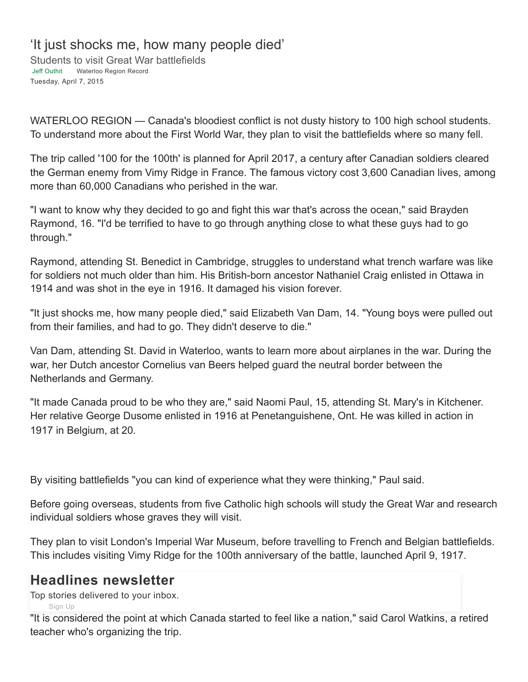## 'It just shocks me, how many people died'

Students to visit Great War battlefields Jeff [Outhit](https://www.waterloochronicle.ca/waterloo-on-author/jeff-outhit/CB820047-326C-44D3-9B62-2098CF76324A/) Waterloo Region Record Tuesday, April 7, 2015

WATERLOO REGION — Canada's bloodiest conflict is not dusty history to 100 high school students. To understand more about the First World War, they plan to visit the battlefields where so many fell.

The trip called '100 for the 100th' is planned for April 2017, a century after Canadian soldiers cleared the German enemy from Vimy Ridge in France. The famous victory cost 3,600 Canadian lives, among more than 60,000 Canadians who perished in the war.

"I want to know why they decided to go and fight this war that's across the ocean," said Brayden Raymond, 16. "I'd be terrified to have to go through anything close to what these guys had to go through."

Raymond, attending St. Benedict in Cambridge, struggles to understand what trench warfare was like for soldiers not much older than him. His British-born ancestor Nathaniel Craig enlisted in Ottawa in 1914 and was shot in the eye in 1916. It damaged his vision forever.

"It just shocks me, how many people died," said Elizabeth Van Dam, 14. "Young boys were pulled out from their families, and had to go. They didn't deserve to die."

Van Dam, attending St. David in Waterloo, wants to learn more about airplanes in the war. During the war, her Dutch ancestor Cornelius van Beers helped guard the neutral border between the Netherlands and Germany.

"It made Canada proud to be who they are," said Naomi Paul, 15, attending St. Mary's in Kitchener. Her relative George Dusome enlisted in 1916 at Penetanguishene, Ont. He was killed in action in 1917 in Belgium, at 20.

By visiting battlefields "you can kind of experience what they were thinking," Paul said.

Before going overseas, students from five Catholic high schools will study the Great War and research individual soldiers whose graves they will visit.

They plan to visit London's Imperial War Museum, before travelling to French and Belgian battlefields. This includes visiting Vimy Ridge for the 100th anniversary of the battle, launched April 9, 1917.

## **Headlines newsletter**

Top stories delivered to your inbox.

[Sign](https://www.waterloochronicle.ca/news-static/5920535-newsletter-sign-up-waterloo-chronicle/) Up

"It is considered the point at which Canada started to feel like a nation," said Carol Watkins, a retired teacher who's organizing the trip.